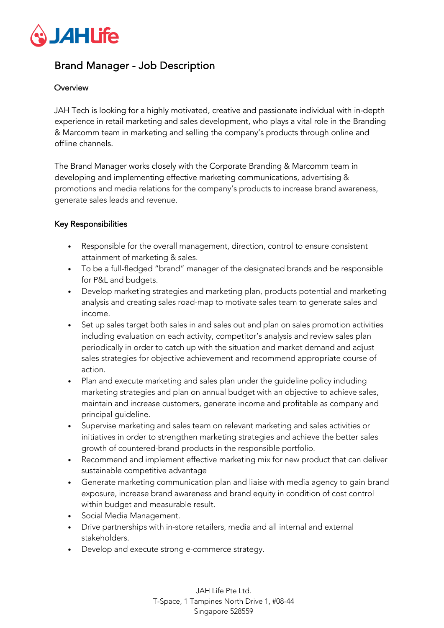

## Brand Manager - Job Description

## **Overview**

JAH Tech is looking for a highly motivated, creative and passionate individual with in-depth experience in retail marketing and sales development, who plays a vital role in the Branding & Marcomm team in marketing and selling the company's products through online and offline channels.

The Brand Manager works closely with the Corporate Branding & Marcomm team in developing and implementing effective marketing communications, advertising & promotions and media relations for the company's products to increase brand awareness, generate sales leads and revenue.

## Key Responsibilities

- Responsible for the overall management, direction, control to ensure consistent attainment of marketing & sales.
- To be a full-fledged "brand" manager of the designated brands and be responsible for P&L and budgets.
- Develop marketing strategies and marketing plan, products potential and marketing analysis and creating sales road-map to motivate sales team to generate sales and income.
- Set up sales target both sales in and sales out and plan on sales promotion activities including evaluation on each activity, competitor's analysis and review sales plan periodically in order to catch up with the situation and market demand and adjust sales strategies for objective achievement and recommend appropriate course of action.
- Plan and execute marketing and sales plan under the guideline policy including marketing strategies and plan on annual budget with an objective to achieve sales, maintain and increase customers, generate income and profitable as company and principal guideline.
- Supervise marketing and sales team on relevant marketing and sales activities or initiatives in order to strengthen marketing strategies and achieve the better sales growth of countered-brand products in the responsible portfolio.
- Recommend and implement effective marketing mix for new product that can deliver sustainable competitive advantage
- Generate marketing communication plan and liaise with media agency to gain brand exposure, increase brand awareness and brand equity in condition of cost control within budget and measurable result.
- Social Media Management.
- Drive partnerships with in-store retailers, media and all internal and external stakeholders.
- Develop and execute strong e-commerce strategy.

JAH Life Pte Ltd. T-Space, 1 Tampines North Drive 1, #08-44 Singapore 528559